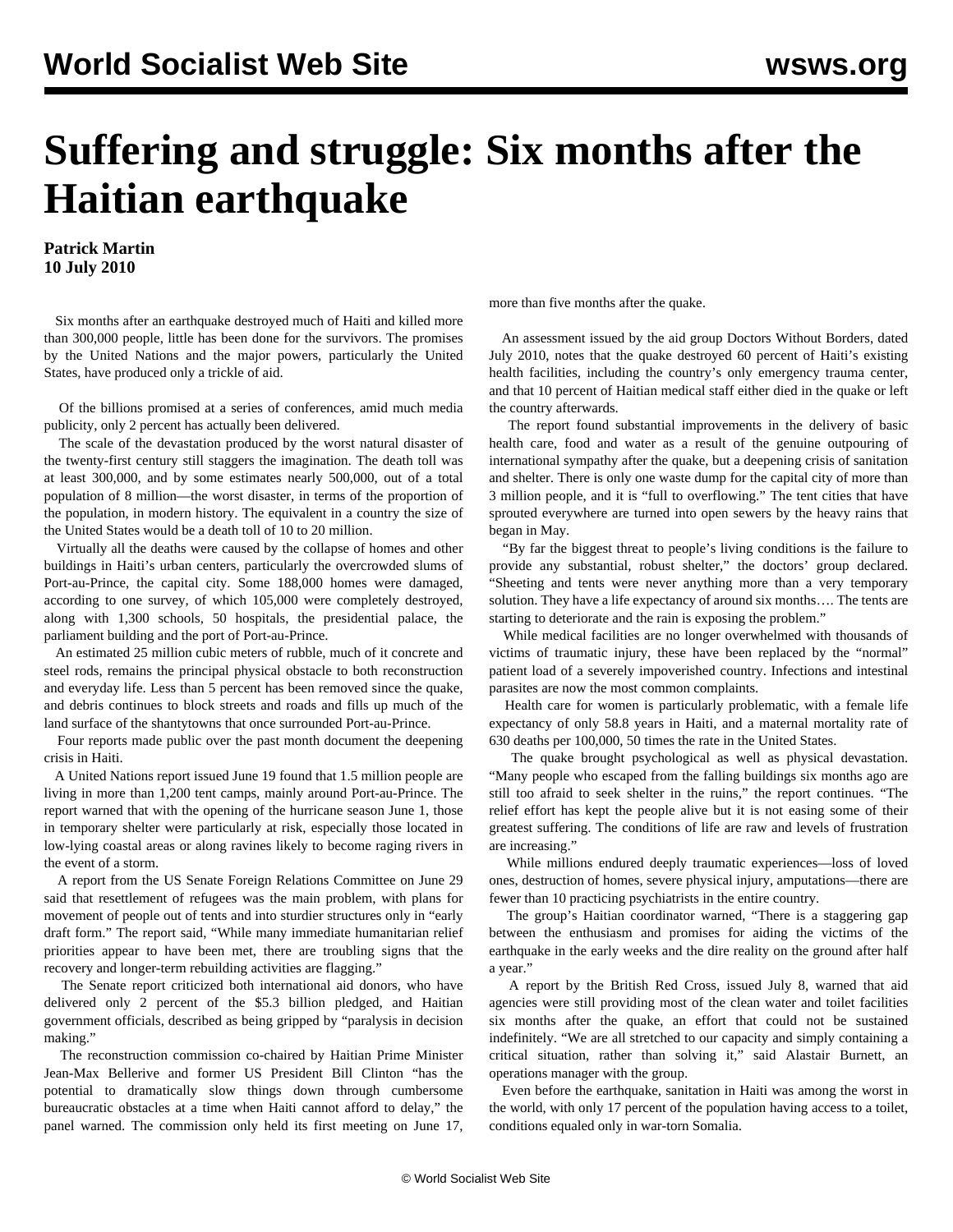## **Suffering and struggle: Six months after the Haitian earthquake**

**Patrick Martin 10 July 2010**

 Six months after an earthquake destroyed much of Haiti and killed more than 300,000 people, little has been done for the survivors. The promises by the United Nations and the major powers, particularly the United States, have produced only a trickle of aid.

 Of the billions promised at a series of conferences, amid much media publicity, only 2 percent has actually been delivered.

 The scale of the devastation produced by the worst natural disaster of the twenty-first century still staggers the imagination. The death toll was at least 300,000, and by some estimates nearly 500,000, out of a total population of 8 million—the worst disaster, in terms of the proportion of the population, in modern history. The equivalent in a country the size of the United States would be a death toll of 10 to 20 million.

 Virtually all the deaths were caused by the collapse of homes and other buildings in Haiti's urban centers, particularly the overcrowded slums of Port-au-Prince, the capital city. Some 188,000 homes were damaged, according to one survey, of which 105,000 were completely destroyed, along with 1,300 schools, 50 hospitals, the presidential palace, the parliament building and the port of Port-au-Prince.

 An estimated 25 million cubic meters of rubble, much of it concrete and steel rods, remains the principal physical obstacle to both reconstruction and everyday life. Less than 5 percent has been removed since the quake, and debris continues to block streets and roads and fills up much of the land surface of the shantytowns that once surrounded Port-au-Prince.

 Four reports made public over the past month document the deepening crisis in Haiti.

 A United Nations report issued June 19 found that 1.5 million people are living in more than 1,200 tent camps, mainly around Port-au-Prince. The report warned that with the opening of the hurricane season June 1, those in temporary shelter were particularly at risk, especially those located in low-lying coastal areas or along ravines likely to become raging rivers in the event of a storm.

 A report from the US Senate Foreign Relations Committee on June 29 said that resettlement of refugees was the main problem, with plans for movement of people out of tents and into sturdier structures only in "early draft form." The report said, "While many immediate humanitarian relief priorities appear to have been met, there are troubling signs that the recovery and longer-term rebuilding activities are flagging."

 The Senate report criticized both international aid donors, who have delivered only 2 percent of the \$5.3 billion pledged, and Haitian government officials, described as being gripped by "paralysis in decision making."

 The reconstruction commission co-chaired by Haitian Prime Minister Jean-Max Bellerive and former US President Bill Clinton "has the potential to dramatically slow things down through cumbersome bureaucratic obstacles at a time when Haiti cannot afford to delay," the panel warned. The commission only held its first meeting on June 17, more than five months after the quake.

 An assessment issued by the aid group Doctors Without Borders, dated July 2010, notes that the quake destroyed 60 percent of Haiti's existing health facilities, including the country's only emergency trauma center, and that 10 percent of Haitian medical staff either died in the quake or left the country afterwards.

 The report found substantial improvements in the delivery of basic health care, food and water as a result of the genuine outpouring of international sympathy after the quake, but a deepening crisis of sanitation and shelter. There is only one waste dump for the capital city of more than 3 million people, and it is "full to overflowing." The tent cities that have sprouted everywhere are turned into open sewers by the heavy rains that began in May.

 "By far the biggest threat to people's living conditions is the failure to provide any substantial, robust shelter," the doctors' group declared. "Sheeting and tents were never anything more than a very temporary solution. They have a life expectancy of around six months…. The tents are starting to deteriorate and the rain is exposing the problem."

 While medical facilities are no longer overwhelmed with thousands of victims of traumatic injury, these have been replaced by the "normal" patient load of a severely impoverished country. Infections and intestinal parasites are now the most common complaints.

 Health care for women is particularly problematic, with a female life expectancy of only 58.8 years in Haiti, and a maternal mortality rate of 630 deaths per 100,000, 50 times the rate in the United States.

 The quake brought psychological as well as physical devastation. "Many people who escaped from the falling buildings six months ago are still too afraid to seek shelter in the ruins," the report continues. "The relief effort has kept the people alive but it is not easing some of their greatest suffering. The conditions of life are raw and levels of frustration are increasing."

 While millions endured deeply traumatic experiences—loss of loved ones, destruction of homes, severe physical injury, amputations—there are fewer than 10 practicing psychiatrists in the entire country.

 The group's Haitian coordinator warned, "There is a staggering gap between the enthusiasm and promises for aiding the victims of the earthquake in the early weeks and the dire reality on the ground after half a year."

 A report by the British Red Cross, issued July 8, warned that aid agencies were still providing most of the clean water and toilet facilities six months after the quake, an effort that could not be sustained indefinitely. "We are all stretched to our capacity and simply containing a critical situation, rather than solving it," said Alastair Burnett, an operations manager with the group.

 Even before the earthquake, sanitation in Haiti was among the worst in the world, with only 17 percent of the population having access to a toilet, conditions equaled only in war-torn Somalia.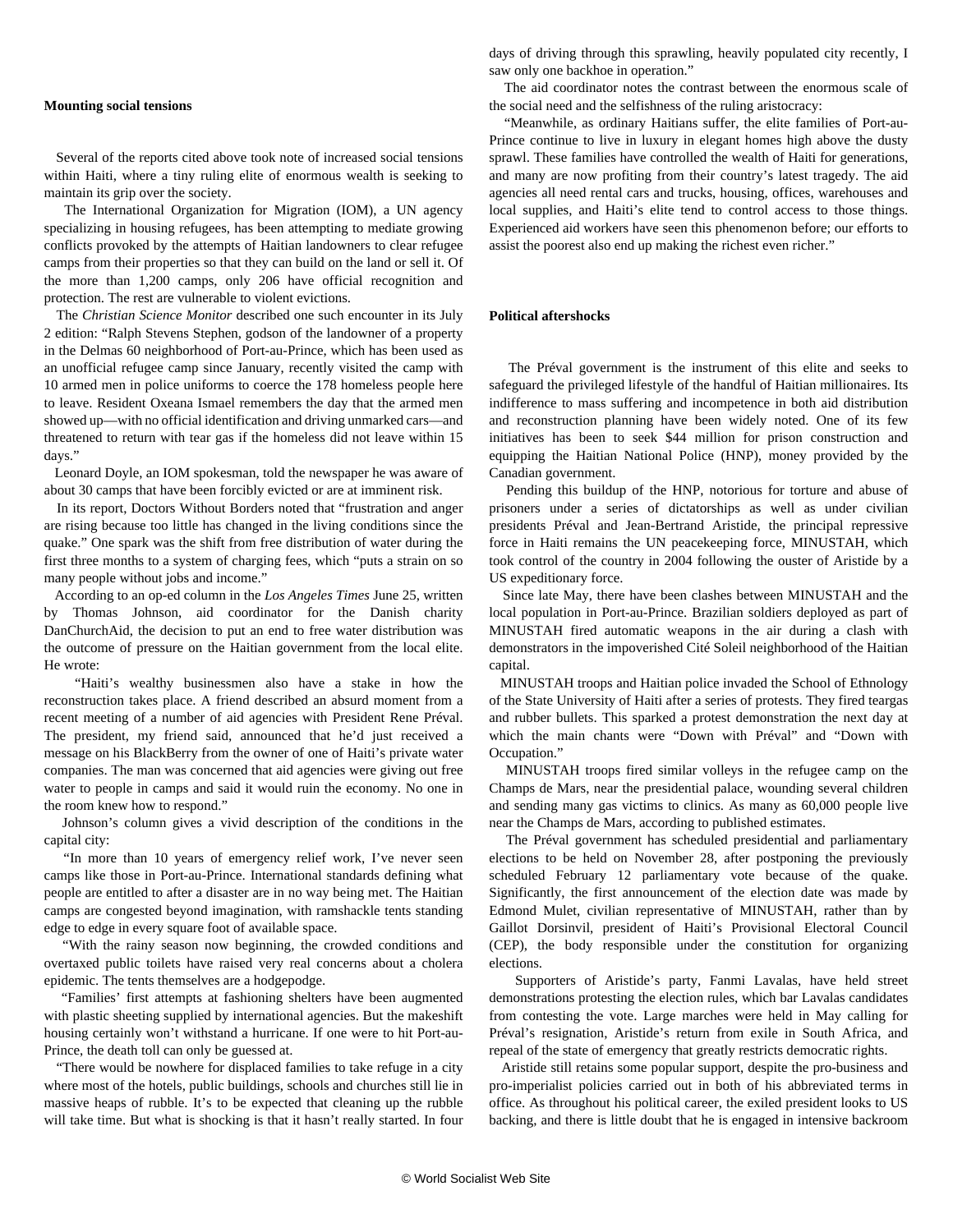## **Mounting social tensions**

 Several of the reports cited above took note of increased social tensions within Haiti, where a tiny ruling elite of enormous wealth is seeking to maintain its grip over the society.

 The International Organization for Migration (IOM), a UN agency specializing in housing refugees, has been attempting to mediate growing conflicts provoked by the attempts of Haitian landowners to clear refugee camps from their properties so that they can build on the land or sell it. Of the more than 1,200 camps, only 206 have official recognition and protection. The rest are vulnerable to violent evictions.

 The *Christian Science Monitor* described one such encounter in its July 2 edition: "Ralph Stevens Stephen, godson of the landowner of a property in the Delmas 60 neighborhood of Port-au-Prince, which has been used as an unofficial refugee camp since January, recently visited the camp with 10 armed men in police uniforms to coerce the 178 homeless people here to leave. Resident Oxeana Ismael remembers the day that the armed men showed up—with no official identification and driving unmarked cars—and threatened to return with tear gas if the homeless did not leave within 15 days."

 Leonard Doyle, an IOM spokesman, told the newspaper he was aware of about 30 camps that have been forcibly evicted or are at imminent risk.

 In its report, Doctors Without Borders noted that "frustration and anger are rising because too little has changed in the living conditions since the quake." One spark was the shift from free distribution of water during the first three months to a system of charging fees, which "puts a strain on so many people without jobs and income."

 According to an op-ed column in the *Los Angeles Times* June 25, written by Thomas Johnson, aid coordinator for the Danish charity DanChurchAid, the decision to put an end to free water distribution was the outcome of pressure on the Haitian government from the local elite. He wrote:

 "Haiti's wealthy businessmen also have a stake in how the reconstruction takes place. A friend described an absurd moment from a recent meeting of a number of aid agencies with President Rene Préval. The president, my friend said, announced that he'd just received a message on his BlackBerry from the owner of one of Haiti's private water companies. The man was concerned that aid agencies were giving out free water to people in camps and said it would ruin the economy. No one in the room knew how to respond."

 Johnson's column gives a vivid description of the conditions in the capital city:

 "In more than 10 years of emergency relief work, I've never seen camps like those in Port-au-Prince. International standards defining what people are entitled to after a disaster are in no way being met. The Haitian camps are congested beyond imagination, with ramshackle tents standing edge to edge in every square foot of available space.

 "With the rainy season now beginning, the crowded conditions and overtaxed public toilets have raised very real concerns about a cholera epidemic. The tents themselves are a hodgepodge.

 "Families' first attempts at fashioning shelters have been augmented with plastic sheeting supplied by international agencies. But the makeshift housing certainly won't withstand a hurricane. If one were to hit Port-au-Prince, the death toll can only be guessed at.

 "There would be nowhere for displaced families to take refuge in a city where most of the hotels, public buildings, schools and churches still lie in massive heaps of rubble. It's to be expected that cleaning up the rubble will take time. But what is shocking is that it hasn't really started. In four days of driving through this sprawling, heavily populated city recently, I saw only one backhoe in operation."

 The aid coordinator notes the contrast between the enormous scale of the social need and the selfishness of the ruling aristocracy:

 "Meanwhile, as ordinary Haitians suffer, the elite families of Port-au-Prince continue to live in luxury in elegant homes high above the dusty sprawl. These families have controlled the wealth of Haiti for generations, and many are now profiting from their country's latest tragedy. The aid agencies all need rental cars and trucks, housing, offices, warehouses and local supplies, and Haiti's elite tend to control access to those things. Experienced aid workers have seen this phenomenon before; our efforts to assist the poorest also end up making the richest even richer."

## **Political aftershocks**

 The Préval government is the instrument of this elite and seeks to safeguard the privileged lifestyle of the handful of Haitian millionaires. Its indifference to mass suffering and incompetence in both aid distribution and reconstruction planning have been widely noted. One of its few initiatives has been to seek \$44 million for prison construction and equipping the Haitian National Police (HNP), money provided by the Canadian government.

 Pending this buildup of the HNP, notorious for torture and abuse of prisoners under a series of dictatorships as well as under civilian presidents Préval and Jean-Bertrand Aristide, the principal repressive force in Haiti remains the UN peacekeeping force, MINUSTAH, which took control of the country in 2004 following the ouster of Aristide by a US expeditionary force.

 Since late May, there have been clashes between MINUSTAH and the local population in Port-au-Prince. Brazilian soldiers deployed as part of MINUSTAH fired automatic weapons in the air during a clash with demonstrators in the impoverished Cité Soleil neighborhood of the Haitian capital.

 MINUSTAH troops and Haitian police invaded the School of Ethnology of the State University of Haiti after a series of protests. They fired teargas and rubber bullets. This sparked a protest demonstration the next day at which the main chants were "Down with Préval" and "Down with Occupation."

 MINUSTAH troops fired similar volleys in the refugee camp on the Champs de Mars, near the presidential palace, wounding several children and sending many gas victims to clinics. As many as 60,000 people live near the Champs de Mars, according to published estimates.

 The Préval government has scheduled presidential and parliamentary elections to be held on November 28, after postponing the previously scheduled February 12 parliamentary vote because of the quake. Significantly, the first announcement of the election date was made by Edmond Mulet, civilian representative of MINUSTAH, rather than by Gaillot Dorsinvil, president of Haiti's Provisional Electoral Council (CEP), the body responsible under the constitution for organizing elections.

 Supporters of Aristide's party, Fanmi Lavalas, have held street demonstrations protesting the election rules, which bar Lavalas candidates from contesting the vote. Large marches were held in May calling for Préval's resignation, Aristide's return from exile in South Africa, and repeal of the state of emergency that greatly restricts democratic rights.

 Aristide still retains some popular support, despite the pro-business and pro-imperialist policies carried out in both of his abbreviated terms in office. As throughout his political career, the exiled president looks to US backing, and there is little doubt that he is engaged in intensive backroom